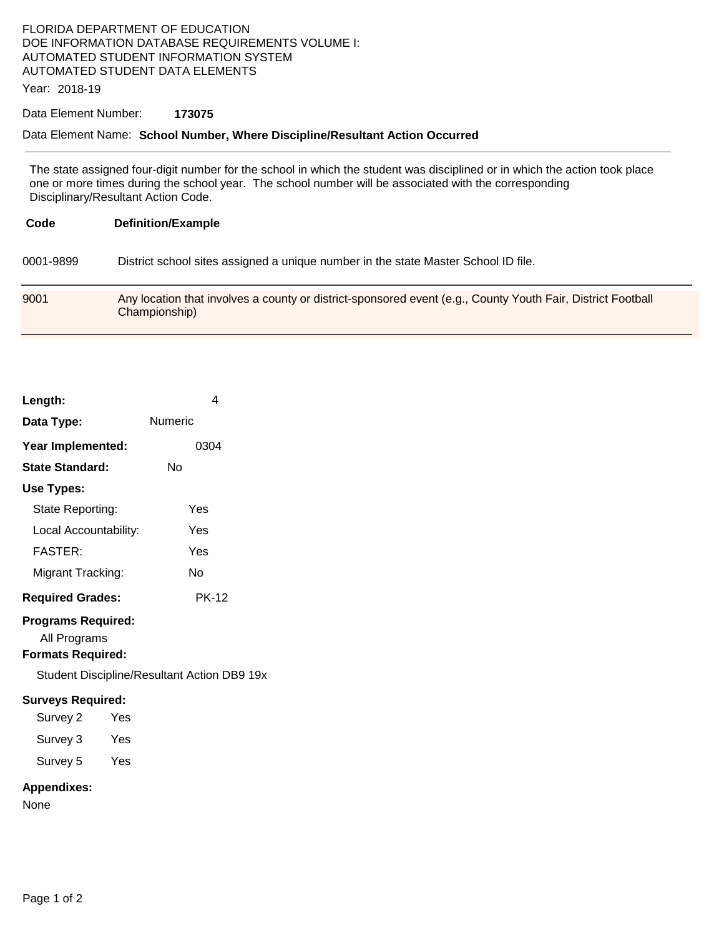## FLORIDA DEPARTMENT OF EDUCATION DOE INFORMATION DATABASE REQUIREMENTS VOLUME I: AUTOMATED STUDENT INFORMATION SYSTEM AUTOMATED STUDENT DATA ELEMENTS

Year: 2018-19

#### Data Element Number: **173075**

#### Data Element Name: **School Number, Where Discipline/Resultant Action Occurred**

The state assigned four-digit number for the school in which the student was disciplined or in which the action took place one or more times during the school year. The school number will be associated with the corresponding Disciplinary/Resultant Action Code.

| Code      | <b>Definition/Example</b>                                                                                                    |  |
|-----------|------------------------------------------------------------------------------------------------------------------------------|--|
| 0001-9899 | District school sites assigned a unique number in the state Master School ID file.                                           |  |
| 9001      | Any location that involves a county or district-sponsored event (e.g., County Youth Fair, District Football<br>Championship) |  |

| Length:                                   | 4       |
|-------------------------------------------|---------|
| Data Type:                                | Numeric |
| Year Implemented:                         | 0304    |
| <b>State Standard:</b>                    | N٥      |
| Use Types:                                |         |
| State Reporting:                          | Yes     |
| Local Accountability:                     | Yes     |
| <b>FASTER:</b>                            | Yes     |
| Migrant Tracking:                         | N٥      |
| <b>Required Grades:</b>                   | PK-12   |
| <b>Programs Required:</b><br>All Programs |         |

**Formats Required:** 

Student Discipline/Resultant Action DB9 19x

#### **Surveys Required:**

| Survey 2 | Yes |
|----------|-----|
| Survey 3 | Yes |
| Survey 5 | Yes |

### **Appendixes:**

None